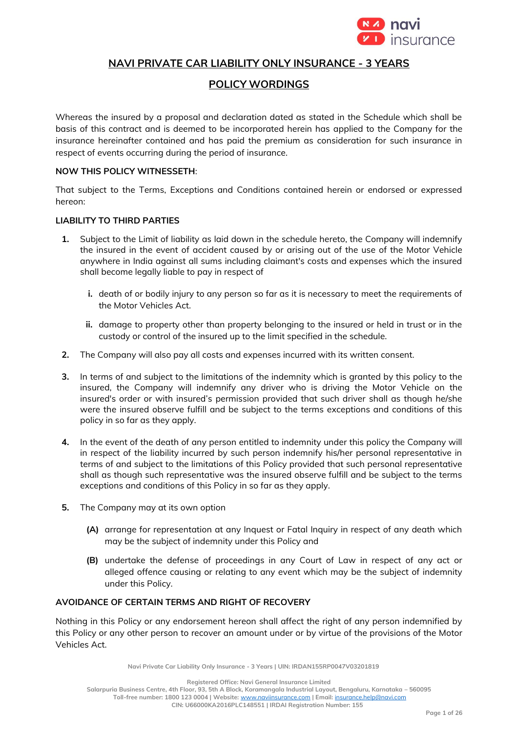

# **NAVI PRIVATE CAR LIABILITY ONLY INSURANCE - 3 YEARS**

# **POLICY WORDINGS**

Whereas the insured by a proposal and declaration dated as stated in the Schedule which shall be basis of this contract and is deemed to be incorporated herein has applied to the Company for the insurance hereinafter contained and has paid the premium as consideration for such insurance in respect of events occurring during the period of insurance.

### **NOW THIS POLICY WITNESSETH**:

That subject to the Terms, Exceptions and Conditions contained herein or endorsed or expressed hereon:

### **LIABILITY TO THIRD PARTIES**

- **1.** Subject to the Limit of liability as laid down in the schedule hereto, the Company will indemnify the insured in the event of accident caused by or arising out of the use of the Motor Vehicle anywhere in India against all sums including claimant's costs and expenses which the insured shall become legally liable to pay in respect of
	- **i.** death of or bodily injury to any person so far as it is necessary to meet the requirements of the Motor Vehicles Act.
	- **ii.** damage to property other than property belonging to the insured or held in trust or in the custody or control of the insured up to the limit specified in the schedule.
- **2.** The Company will also pay all costs and expenses incurred with its written consent.
- **3.** In terms of and subject to the limitations of the indemnity which is granted by this policy to the insured, the Company will indemnify any driver who is driving the Motor Vehicle on the insured's order or with insured's permission provided that such driver shall as though he/she were the insured observe fulfill and be subject to the terms exceptions and conditions of this policy in so far as they apply.
- **4.** In the event of the death of any person entitled to indemnity under this policy the Company will in respect of the liability incurred by such person indemnify his/her personal representative in terms of and subject to the limitations of this Policy provided that such personal representative shall as though such representative was the insured observe fulfill and be subject to the terms exceptions and conditions of this Policy in so far as they apply.
- **5.** The Company may at its own option
	- **(A)** arrange for representation at any Inquest or Fatal Inquiry in respect of any death which may be the subject of indemnity under this Policy and
	- **(B)** undertake the defense of proceedings in any Court of Law in respect of any act or alleged offence causing or relating to any event which may be the subject of indemnity under this Policy.

### **AVOIDANCE OF CERTAIN TERMS AND RIGHT OF RECOVERY**

Nothing in this Policy or any endorsement hereon shall affect the right of any person indemnified by this Policy or any other person to recover an amount under or by virtue of the provisions of the Motor Vehicles Act.

**Navi Private Car Liability Only Insurance - 3 Years | UIN: IRDAN155RP0047V03201819**

**Registered Office: Navi General Insurance Limited**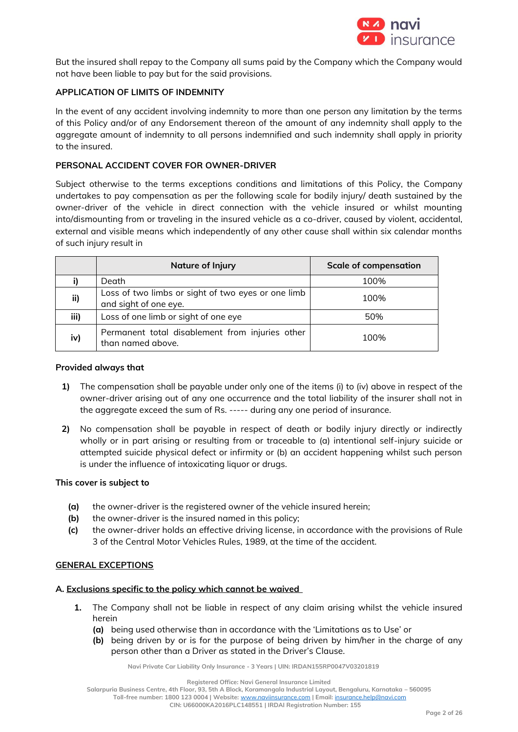

But the insured shall repay to the Company all sums paid by the Company which the Company would not have been liable to pay but for the said provisions.

## **APPLICATION OF LIMITS OF INDEMNITY**

In the event of any accident involving indemnity to more than one person any limitation by the terms of this Policy and/or of any Endorsement thereon of the amount of any indemnity shall apply to the aggregate amount of indemnity to all persons indemnified and such indemnity shall apply in priority to the insured.

## **PERSONAL ACCIDENT COVER FOR OWNER-DRIVER**

Subject otherwise to the terms exceptions conditions and limitations of this Policy, the Company undertakes to pay compensation as per the following scale for bodily injury/ death sustained by the owner-driver of the vehicle in direct connection with the vehicle insured or whilst mounting into/dismounting from or traveling in the insured vehicle as a co-driver, caused by violent, accidental, external and visible means which independently of any other cause shall within six calendar months of such injury result in

|      | Nature of Injury                                                            | <b>Scale of compensation</b> |
|------|-----------------------------------------------------------------------------|------------------------------|
|      | Death                                                                       | 100%                         |
| ii)  | Loss of two limbs or sight of two eyes or one limb<br>and sight of one eye. | 100%                         |
| iii) | Loss of one limb or sight of one eye                                        | 50%                          |
| iv)  | Permanent total disablement from injuries other<br>than named above.        | 100%                         |

#### **Provided always that**

- **1)** The compensation shall be payable under only one of the items (i) to (iv) above in respect of the owner-driver arising out of any one occurrence and the total liability of the insurer shall not in the aggregate exceed the sum of Rs. ----- during any one period of insurance.
- **2)** No compensation shall be payable in respect of death or bodily injury directly or indirectly wholly or in part arising or resulting from or traceable to (a) intentional self-injury suicide or attempted suicide physical defect or infirmity or (b) an accident happening whilst such person is under the influence of intoxicating liquor or drugs.

## **This cover is subject to**

- **(a)** the owner-driver is the registered owner of the vehicle insured herein;
- **(b)** the owner-driver is the insured named in this policy;
- **(c)** the owner-driver holds an effective driving license, in accordance with the provisions of Rule 3 of the Central Motor Vehicles Rules, 1989, at the time of the accident.

## **GENERAL EXCEPTIONS**

## **A. Exclusions specific to the policy which cannot be waived**

- **1.** The Company shall not be liable in respect of any claim arising whilst the vehicle insured herein
	- **(a)** being used otherwise than in accordance with the 'Limitations as to Use' or
	- **(b)** being driven by or is for the purpose of being driven by him/her in the charge of any person other than a Driver as stated in the Driver's Clause.

**Navi Private Car Liability Only Insurance - 3 Years | UIN: IRDAN155RP0047V03201819**

**Registered Office: Navi General Insurance Limited**

**Salarpuria Business Centre, 4th Floor, 93, 5th A Block, Koramangala Industrial Layout, Bengaluru, Karnataka – 560095**

**Toll-free number: 1800 123 0004 | Website:** [www.naviinsurance.com](http://www.naviinsurance.com/) **| Email:** [insurance.help@navi.com](mailto:insurance.help@navi.com)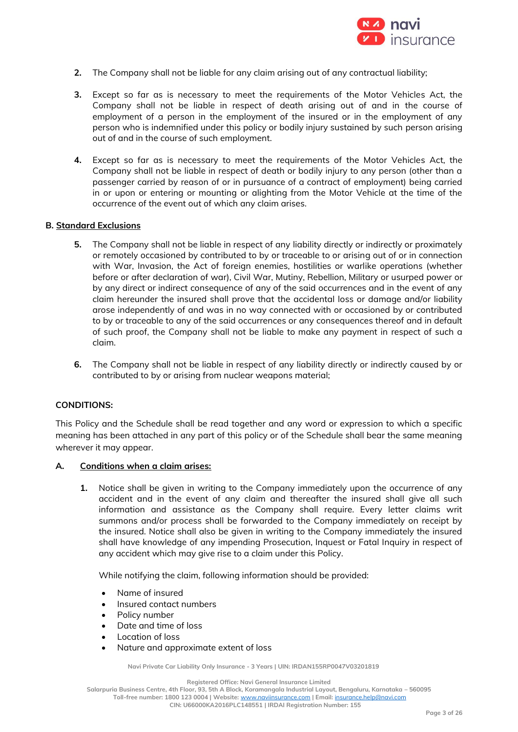

- **2.** The Company shall not be liable for any claim arising out of any contractual liability;
- **3.** Except so far as is necessary to meet the requirements of the Motor Vehicles Act, the Company shall not be liable in respect of death arising out of and in the course of employment of a person in the employment of the insured or in the employment of any person who is indemnified under this policy or bodily injury sustained by such person arising out of and in the course of such employment.
- **4.** Except so far as is necessary to meet the requirements of the Motor Vehicles Act, the Company shall not be liable in respect of death or bodily injury to any person (other than a passenger carried by reason of or in pursuance of a contract of employment) being carried in or upon or entering or mounting or alighting from the Motor Vehicle at the time of the occurrence of the event out of which any claim arises.

### **B. Standard Exclusions**

- **5.** The Company shall not be liable in respect of any liability directly or indirectly or proximately or remotely occasioned by contributed to by or traceable to or arising out of or in connection with War, Invasion, the Act of foreign enemies, hostilities or warlike operations (whether before or after declaration of war), Civil War, Mutiny, Rebellion, Military or usurped power or by any direct or indirect consequence of any of the said occurrences and in the event of any claim hereunder the insured shall prove that the accidental loss or damage and/or liability arose independently of and was in no way connected with or occasioned by or contributed to by or traceable to any of the said occurrences or any consequences thereof and in default of such proof, the Company shall not be liable to make any payment in respect of such a claim.
- **6.** The Company shall not be liable in respect of any liability directly or indirectly caused by or contributed to by or arising from nuclear weapons material;

## **CONDITIONS:**

This Policy and the Schedule shall be read together and any word or expression to which a specific meaning has been attached in any part of this policy or of the Schedule shall bear the same meaning wherever it may appear.

#### **A. Conditions when a claim arises:**

**1.** Notice shall be given in writing to the Company immediately upon the occurrence of any accident and in the event of any claim and thereafter the insured shall give all such information and assistance as the Company shall require. Every letter claims writ summons and/or process shall be forwarded to the Company immediately on receipt by the insured. Notice shall also be given in writing to the Company immediately the insured shall have knowledge of any impending Prosecution, Inquest or Fatal Inquiry in respect of any accident which may give rise to a claim under this Policy.

While notifying the claim, following information should be provided:

- Name of insured
- Insured contact numbers
- Policy number
- Date and time of loss
- Location of loss
- Nature and approximate extent of loss

**Navi Private Car Liability Only Insurance - 3 Years | UIN: IRDAN155RP0047V03201819**

**Registered Office: Navi General Insurance Limited**

**Salarpuria Business Centre, 4th Floor, 93, 5th A Block, Koramangala Industrial Layout, Bengaluru, Karnataka – 560095**

**Toll-free number: 1800 123 0004 | Website:** [www.naviinsurance.com](http://www.naviinsurance.com/) **| Email:** [insurance.help@navi.com](mailto:insurance.help@navi.com)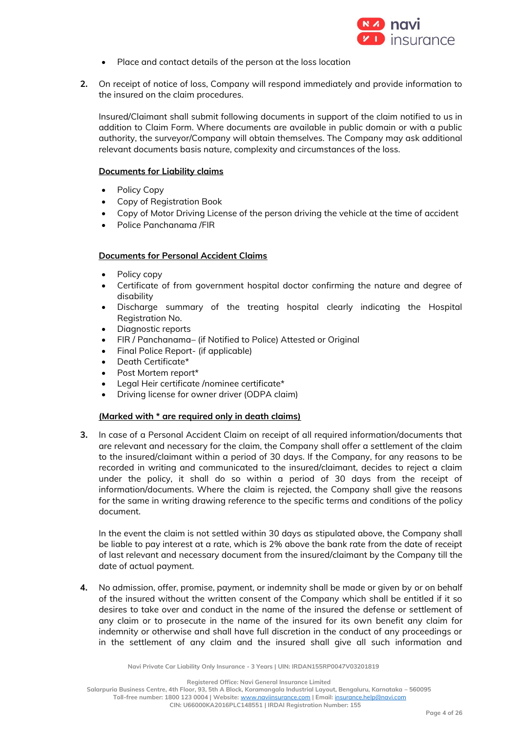

- Place and contact details of the person at the loss location
- **2.** On receipt of notice of loss, Company will respond immediately and provide information to the insured on the claim procedures.

Insured/Claimant shall submit following documents in support of the claim notified to us in addition to Claim Form. Where documents are available in public domain or with a public authority, the surveyor/Company will obtain themselves. The Company may ask additional relevant documents basis nature, complexity and circumstances of the loss.

### **Documents for Liability claims**

- Policy Copy
- Copy of Registration Book
- Copy of Motor Driving License of the person driving the vehicle at the time of accident
- Police Panchanama /FIR

### **Documents for Personal Accident Claims**

- Policy copy
- Certificate of from government hospital doctor confirming the nature and degree of disability
- Discharge summary of the treating hospital clearly indicating the Hospital Registration No.
- Diagnostic reports
- FIR / Panchanama– (if Notified to Police) Attested or Original
- Final Police Report- (if applicable)
- Death Certificate\*
- Post Mortem report\*
- Legal Heir certificate /nominee certificate\*
- Driving license for owner driver (ODPA claim)

### **(Marked with \* are required only in death claims)**

**3.** In case of a Personal Accident Claim on receipt of all required information/documents that are relevant and necessary for the claim, the Company shall offer a settlement of the claim to the insured/claimant within a period of 30 days. If the Company, for any reasons to be recorded in writing and communicated to the insured/claimant, decides to reject a claim under the policy, it shall do so within a period of 30 days from the receipt of information/documents. Where the claim is rejected, the Company shall give the reasons for the same in writing drawing reference to the specific terms and conditions of the policy document.

In the event the claim is not settled within 30 days as stipulated above, the Company shall be liable to pay interest at a rate, which is 2% above the bank rate from the date of receipt of last relevant and necessary document from the insured/claimant by the Company till the date of actual payment.

**4.** No admission, offer, promise, payment, or indemnity shall be made or given by or on behalf of the insured without the written consent of the Company which shall be entitled if it so desires to take over and conduct in the name of the insured the defense or settlement of any claim or to prosecute in the name of the insured for its own benefit any claim for indemnity or otherwise and shall have full discretion in the conduct of any proceedings or in the settlement of any claim and the insured shall give all such information and

**Navi Private Car Liability Only Insurance - 3 Years | UIN: IRDAN155RP0047V03201819**

**Registered Office: Navi General Insurance Limited**

**Salarpuria Business Centre, 4th Floor, 93, 5th A Block, Koramangala Industrial Layout, Bengaluru, Karnataka – 560095 Toll-free number: 1800 123 0004 | Website:** [www.naviinsurance.com](http://www.naviinsurance.com/) **| Email:** [insurance.help@navi.com](mailto:insurance.help@navi.com)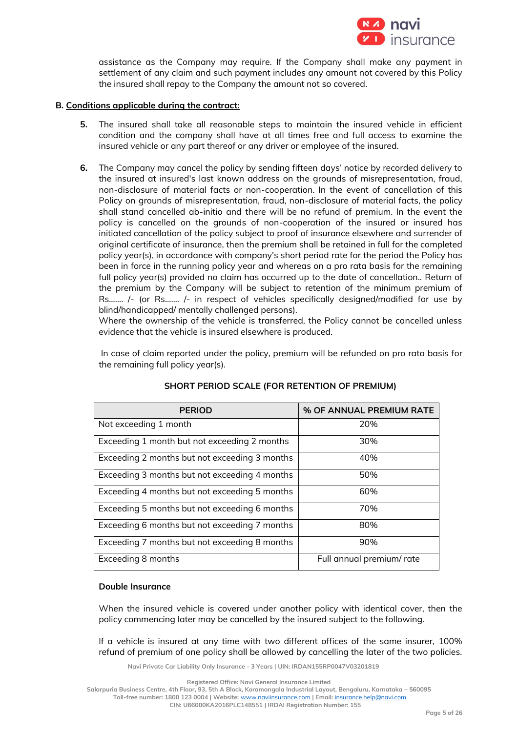

assistance as the Company may require. If the Company shall make any payment in settlement of any claim and such payment includes any amount not covered by this Policy the insured shall repay to the Company the amount not so covered.

### **B. Conditions applicable during the contract:**

- **5.** The insured shall take all reasonable steps to maintain the insured vehicle in efficient condition and the company shall have at all times free and full access to examine the insured vehicle or any part thereof or any driver or employee of the insured.
- **6.** The Company may cancel the policy by sending fifteen days' notice by recorded delivery to the insured at insured's last known address on the grounds of misrepresentation, fraud, non-disclosure of material facts or non-cooperation. In the event of cancellation of this Policy on grounds of misrepresentation, fraud, non-disclosure of material facts, the policy shall stand cancelled ab-initio and there will be no refund of premium. In the event the policy is cancelled on the grounds of non-cooperation of the insured or insured has initiated cancellation of the policy subject to proof of insurance elsewhere and surrender of original certificate of insurance, then the premium shall be retained in full for the completed policy year(s), in accordance with company's short period rate for the period the Policy has been in force in the running policy year and whereas on a pro rata basis for the remaining full policy year(s) provided no claim has occurred up to the date of cancellation.. Return of the premium by the Company will be subject to retention of the minimum premium of Rs……. /- (or Rs……. /- in respect of vehicles specifically designed/modified for use by blind/handicapped/ mentally challenged persons).

Where the ownership of the vehicle is transferred, the Policy cannot be cancelled unless evidence that the vehicle is insured elsewhere is produced.

In case of claim reported under the policy, premium will be refunded on pro rata basis for the remaining full policy year(s).

| <b>PERIOD</b>                                 | % OF ANNUAL PREMIUM RATE |
|-----------------------------------------------|--------------------------|
| Not exceeding 1 month                         | 20%                      |
| Exceeding 1 month but not exceeding 2 months  | 30%                      |
| Exceeding 2 months but not exceeding 3 months | 40%                      |
| Exceeding 3 months but not exceeding 4 months | 50%                      |
| Exceeding 4 months but not exceeding 5 months | 60%                      |
| Exceeding 5 months but not exceeding 6 months | 70%                      |
| Exceeding 6 months but not exceeding 7 months | 80%                      |
| Exceeding 7 months but not exceeding 8 months | 90%                      |
| Exceeding 8 months                            | Full annual premium/rate |

## **SHORT PERIOD SCALE (FOR RETENTION OF PREMIUM)**

## **Double Insurance**

When the insured vehicle is covered under another policy with identical cover, then the policy commencing later may be cancelled by the insured subject to the following.

If a vehicle is insured at any time with two different offices of the same insurer, 100% refund of premium of one policy shall be allowed by cancelling the later of the two policies.

**Navi Private Car Liability Only Insurance - 3 Years | UIN: IRDAN155RP0047V03201819**

**Registered Office: Navi General Insurance Limited**

**Salarpuria Business Centre, 4th Floor, 93, 5th A Block, Koramangala Industrial Layout, Bengaluru, Karnataka – 560095**

**Toll-free number: 1800 123 0004 | Website:** [www.naviinsurance.com](http://www.naviinsurance.com/) **| Email:** [insurance.help@navi.com](mailto:insurance.help@navi.com)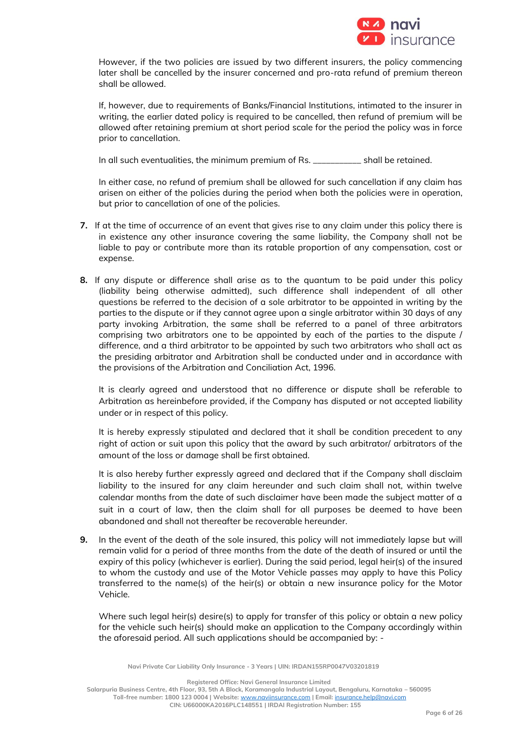

However, if the two policies are issued by two different insurers, the policy commencing later shall be cancelled by the insurer concerned and pro-rata refund of premium thereon shall be allowed.

If, however, due to requirements of Banks/Financial Institutions, intimated to the insurer in writing, the earlier dated policy is required to be cancelled, then refund of premium will be allowed after retaining premium at short period scale for the period the policy was in force prior to cancellation.

In all such eventualities, the minimum premium of Rs. \_\_\_\_\_\_\_\_\_\_\_ shall be retained.

In either case, no refund of premium shall be allowed for such cancellation if any claim has arisen on either of the policies during the period when both the policies were in operation, but prior to cancellation of one of the policies.

- **7.** If at the time of occurrence of an event that gives rise to any claim under this policy there is in existence any other insurance covering the same liability, the Company shall not be liable to pay or contribute more than its ratable proportion of any compensation, cost or expense.
- **8.** If any dispute or difference shall arise as to the quantum to be paid under this policy (liability being otherwise admitted), such difference shall independent of all other questions be referred to the decision of a sole arbitrator to be appointed in writing by the parties to the dispute or if they cannot agree upon a single arbitrator within 30 days of any party invoking Arbitration, the same shall be referred to a panel of three arbitrators comprising two arbitrators one to be appointed by each of the parties to the dispute / difference, and a third arbitrator to be appointed by such two arbitrators who shall act as the presiding arbitrator and Arbitration shall be conducted under and in accordance with the provisions of the Arbitration and Conciliation Act, 1996.

It is clearly agreed and understood that no difference or dispute shall be referable to Arbitration as hereinbefore provided, if the Company has disputed or not accepted liability under or in respect of this policy.

It is hereby expressly stipulated and declared that it shall be condition precedent to any right of action or suit upon this policy that the award by such arbitrator/ arbitrators of the amount of the loss or damage shall be first obtained.

It is also hereby further expressly agreed and declared that if the Company shall disclaim liability to the insured for any claim hereunder and such claim shall not, within twelve calendar months from the date of such disclaimer have been made the subject matter of a suit in a court of law, then the claim shall for all purposes be deemed to have been abandoned and shall not thereafter be recoverable hereunder.

**9.** In the event of the death of the sole insured, this policy will not immediately lapse but will remain valid for a period of three months from the date of the death of insured or until the expiry of this policy (whichever is earlier). During the said period, legal heir(s) of the insured to whom the custody and use of the Motor Vehicle passes may apply to have this Policy transferred to the name(s) of the heir(s) or obtain a new insurance policy for the Motor Vehicle.

Where such legal heir(s) desire(s) to apply for transfer of this policy or obtain a new policy for the vehicle such heir(s) should make an application to the Company accordingly within the aforesaid period. All such applications should be accompanied by: -

**Navi Private Car Liability Only Insurance - 3 Years | UIN: IRDAN155RP0047V03201819**

**Registered Office: Navi General Insurance Limited**

**Salarpuria Business Centre, 4th Floor, 93, 5th A Block, Koramangala Industrial Layout, Bengaluru, Karnataka – 560095 Toll-free number: 1800 123 0004 | Website:** [www.naviinsurance.com](http://www.naviinsurance.com/) **| Email:** [insurance.help@navi.com](mailto:insurance.help@navi.com)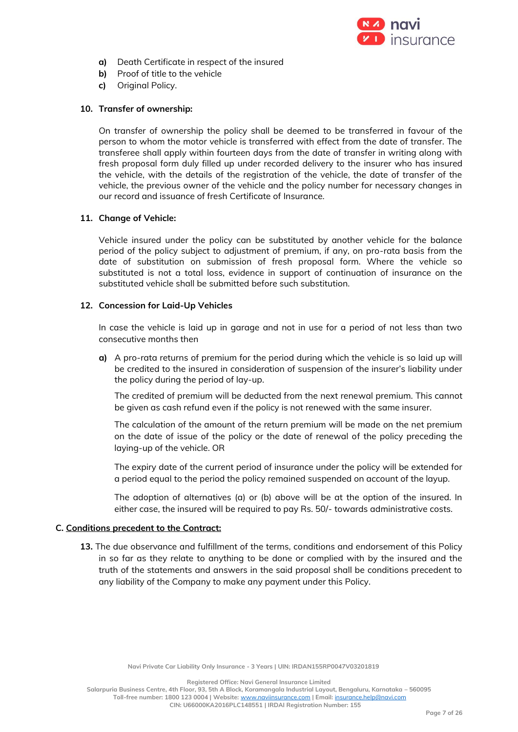

- **a)** Death Certificate in respect of the insured
- **b)** Proof of title to the vehicle
- **c)** Original Policy.

## **10. Transfer of ownership:**

On transfer of ownership the policy shall be deemed to be transferred in favour of the person to whom the motor vehicle is transferred with effect from the date of transfer. The transferee shall apply within fourteen days from the date of transfer in writing along with fresh proposal form duly filled up under recorded delivery to the insurer who has insured the vehicle, with the details of the registration of the vehicle, the date of transfer of the vehicle, the previous owner of the vehicle and the policy number for necessary changes in our record and issuance of fresh Certificate of Insurance.

## **11. Change of Vehicle:**

Vehicle insured under the policy can be substituted by another vehicle for the balance period of the policy subject to adjustment of premium, if any, on pro-rata basis from the date of substitution on submission of fresh proposal form. Where the vehicle so substituted is not a total loss, evidence in support of continuation of insurance on the substituted vehicle shall be submitted before such substitution.

## **12. Concession for Laid-Up Vehicles**

In case the vehicle is laid up in garage and not in use for a period of not less than two consecutive months then

**a)** A pro-rata returns of premium for the period during which the vehicle is so laid up will be credited to the insured in consideration of suspension of the insurer's liability under the policy during the period of lay-up.

The credited of premium will be deducted from the next renewal premium. This cannot be given as cash refund even if the policy is not renewed with the same insurer.

The calculation of the amount of the return premium will be made on the net premium on the date of issue of the policy or the date of renewal of the policy preceding the laying-up of the vehicle. OR

The expiry date of the current period of insurance under the policy will be extended for a period equal to the period the policy remained suspended on account of the layup.

The adoption of alternatives (a) or (b) above will be at the option of the insured. In either case, the insured will be required to pay Rs. 50/- towards administrative costs.

## **C. Conditions precedent to the Contract:**

**13.** The due observance and fulfillment of the terms, conditions and endorsement of this Policy in so far as they relate to anything to be done or complied with by the insured and the truth of the statements and answers in the said proposal shall be conditions precedent to any liability of the Company to make any payment under this Policy.

**Registered Office: Navi General Insurance Limited**

**Salarpuria Business Centre, 4th Floor, 93, 5th A Block, Koramangala Industrial Layout, Bengaluru, Karnataka – 560095 Toll-free number: 1800 123 0004 | Website:** [www.naviinsurance.com](http://www.naviinsurance.com/) **| Email:** [insurance.help@navi.com](mailto:insurance.help@navi.com)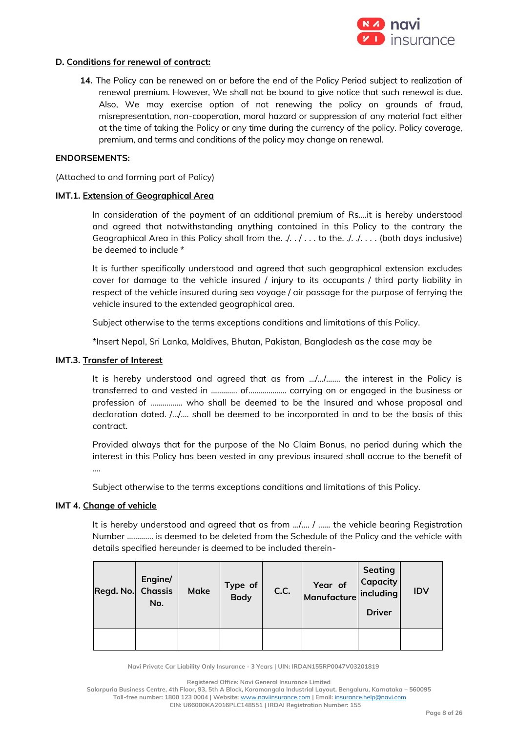

### **D. Conditions for renewal of contract:**

**14.** The Policy can be renewed on or before the end of the Policy Period subject to realization of renewal premium. However, We shall not be bound to give notice that such renewal is due. Also, We may exercise option of not renewing the policy on grounds of fraud, misrepresentation, non-cooperation, moral hazard or suppression of any material fact either at the time of taking the Policy or any time during the currency of the policy. Policy coverage, premium, and terms and conditions of the policy may change on renewal.

### **ENDORSEMENTS:**

(Attached to and forming part of Policy)

#### **IMT.1. Extension of Geographical Area**

In consideration of the payment of an additional premium of Rs….it is hereby understood and agreed that notwithstanding anything contained in this Policy to the contrary the Geographical Area in this Policy shall from the.  $\ell$ . .  $\ell$  ... to the.  $\ell$ .  $\ell$ .... (both days inclusive) be deemed to include \*

It is further specifically understood and agreed that such geographical extension excludes cover for damage to the vehicle insured / injury to its occupants / third party liability in respect of the vehicle insured during sea voyage / air passage for the purpose of ferrying the vehicle insured to the extended geographical area.

Subject otherwise to the terms exceptions conditions and limitations of this Policy.

\*Insert Nepal, Sri Lanka, Maldives, Bhutan, Pakistan, Bangladesh as the case may be

### **IMT.3. Transfer of Interest**

It is hereby understood and agreed that as from …/…/……. the interest in the Policy is transferred to and vested in ……….... of………………. carrying on or engaged in the business or profession of ……………. who shall be deemed to be the Insured and whose proposal and declaration dated. /…/…. shall be deemed to be incorporated in and to be the basis of this contract.

Provided always that for the purpose of the No Claim Bonus, no period during which the interest in this Policy has been vested in any previous insured shall accrue to the benefit of ....

Subject otherwise to the terms exceptions conditions and limitations of this Policy.

#### **IMT 4. Change of vehicle**

It is hereby understood and agreed that as from …/…. / …... the vehicle bearing Registration Number …………. is deemed to be deleted from the Schedule of the Policy and the vehicle with details specified hereunder is deemed to be included therein-

| Regd. No. Chassis | Engine/<br>No. | <b>Make</b> | Type of<br>Body | C.C. | Year of Capacity<br>Manufacture including | <b>Seating</b><br><b>Driver</b> | <b>IDV</b> |
|-------------------|----------------|-------------|-----------------|------|-------------------------------------------|---------------------------------|------------|
|                   |                |             |                 |      |                                           |                                 |            |

**Navi Private Car Liability Only Insurance - 3 Years | UIN: IRDAN155RP0047V03201819**

**Registered Office: Navi General Insurance Limited**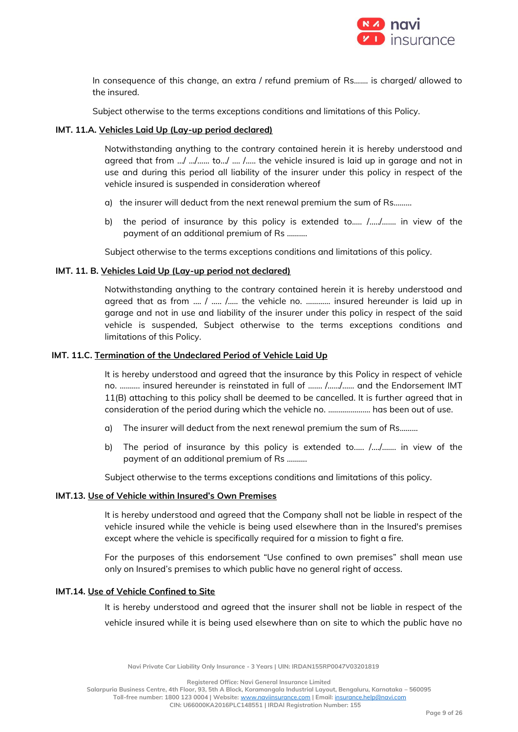

In consequence of this change, an extra / refund premium of Rs….... is charged/ allowed to the insured.

Subject otherwise to the terms exceptions conditions and limitations of this Policy.

### **IMT. 11.A. Vehicles Laid Up (Lay-up period declared)**

Notwithstanding anything to the contrary contained herein it is hereby understood and agreed that from …/ …/…... to…/ …. /….. the vehicle insured is laid up in garage and not in use and during this period all liability of the insurer under this policy in respect of the vehicle insured is suspended in consideration whereof

- a) the insurer will deduct from the next renewal premium the sum of Rs………
- b) the period of insurance by this policy is extended to.…. /…../……. in view of the payment of an additional premium of Rs ……….

Subject otherwise to the terms exceptions conditions and limitations of this policy.

### **IMT. 11. B. Vehicles Laid Up (Lay-up period not declared)**

Notwithstanding anything to the contrary contained herein it is hereby understood and agreed that as from …. / ….. /….. the vehicle no. ………… insured hereunder is laid up in garage and not in use and liability of the insurer under this policy in respect of the said vehicle is suspended, Subject otherwise to the terms exceptions conditions and limitations of this Policy.

# **IMT. 11.C. Termination of the Undeclared Period of Vehicle Laid Up**

It is hereby understood and agreed that the insurance by this Policy in respect of vehicle no. ………. insured hereunder is reinstated in full of ……. /……/…… and the Endorsement IMT 11(B) attaching to this policy shall be deemed to be cancelled. It is further agreed that in consideration of the period during which the vehicle no. ..………………. has been out of use.

- a) The insurer will deduct from the next renewal premium the sum of Rs………
- b) The period of insurance by this policy is extended to.…. /…./……. in view of the payment of an additional premium of Rs ……….

Subject otherwise to the terms exceptions conditions and limitations of this policy.

#### **IMT.13. Use of Vehicle within Insured's Own Premises**

It is hereby understood and agreed that the Company shall not be liable in respect of the vehicle insured while the vehicle is being used elsewhere than in the Insured's premises except where the vehicle is specifically required for a mission to fight a fire.

For the purposes of this endorsement "Use confined to own premises" shall mean use only on Insured's premises to which public have no general right of access.

#### **IMT.14. Use of Vehicle Confined to Site**

It is hereby understood and agreed that the insurer shall not be liable in respect of the vehicle insured while it is being used elsewhere than on site to which the public have no

**Navi Private Car Liability Only Insurance - 3 Years | UIN: IRDAN155RP0047V03201819**

**Registered Office: Navi General Insurance Limited**

**Salarpuria Business Centre, 4th Floor, 93, 5th A Block, Koramangala Industrial Layout, Bengaluru, Karnataka – 560095 Toll-free number: 1800 123 0004 | Website:** [www.naviinsurance.com](http://www.naviinsurance.com/) **| Email:** [insurance.help@navi.com](mailto:insurance.help@navi.com)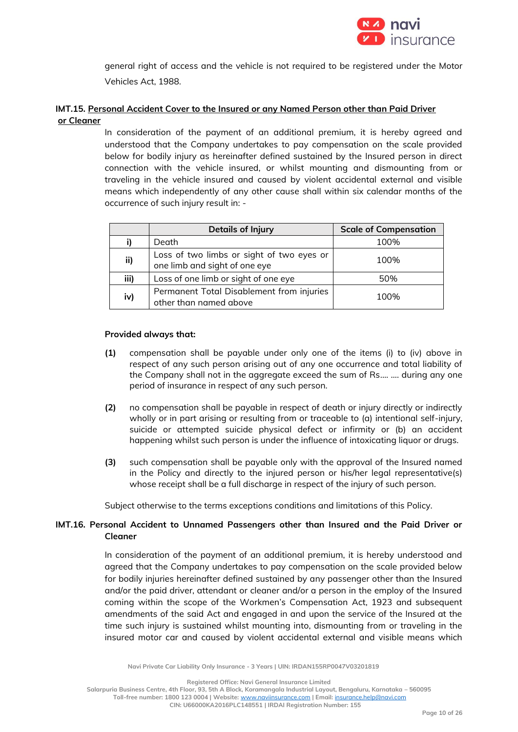

general right of access and the vehicle is not required to be registered under the Motor Vehicles Act, 1988.

# **IMT.15. Personal Accident Cover to the Insured or any Named Person other than Paid Driver or Cleaner**

In consideration of the payment of an additional premium, it is hereby agreed and understood that the Company undertakes to pay compensation on the scale provided below for bodily injury as hereinafter defined sustained by the Insured person in direct connection with the vehicle insured, or whilst mounting and dismounting from or traveling in the vehicle insured and caused by violent accidental external and visible means which independently of any other cause shall within six calendar months of the occurrence of such injury result in: -

|      | <b>Details of Injury</b>                                                   | <b>Scale of Compensation</b> |
|------|----------------------------------------------------------------------------|------------------------------|
|      | Death                                                                      | 100%                         |
| ii)  | Loss of two limbs or sight of two eyes or<br>one limb and sight of one eye | 100%                         |
| iii) | Loss of one limb or sight of one eye                                       | 50%                          |
| iv)  | Permanent Total Disablement from injuries<br>other than named above        | 100%                         |

### **Provided always that:**

- **(1)** compensation shall be payable under only one of the items (i) to (iv) above in respect of any such person arising out of any one occurrence and total liability of the Company shall not in the aggregate exceed the sum of Rs.... …. during any one period of insurance in respect of any such person.
- **(2)** no compensation shall be payable in respect of death or injury directly or indirectly wholly or in part arising or resulting from or traceable to (a) intentional self-injury, suicide or attempted suicide physical defect or infirmity or (b) an accident happening whilst such person is under the influence of intoxicating liquor or drugs.
- **(3)** such compensation shall be payable only with the approval of the Insured named in the Policy and directly to the injured person or his/her legal representative(s) whose receipt shall be a full discharge in respect of the injury of such person.

Subject otherwise to the terms exceptions conditions and limitations of this Policy.

## **IMT.16. Personal Accident to Unnamed Passengers other than Insured and the Paid Driver or Cleaner**

In consideration of the payment of an additional premium, it is hereby understood and agreed that the Company undertakes to pay compensation on the scale provided below for bodily injuries hereinafter defined sustained by any passenger other than the Insured and/or the paid driver, attendant or cleaner and/or a person in the employ of the Insured coming within the scope of the Workmen's Compensation Act, 1923 and subsequent amendments of the said Act and engaged in and upon the service of the Insured at the time such injury is sustained whilst mounting into, dismounting from or traveling in the insured motor car and caused by violent accidental external and visible means which

**Navi Private Car Liability Only Insurance - 3 Years | UIN: IRDAN155RP0047V03201819**

**Registered Office: Navi General Insurance Limited**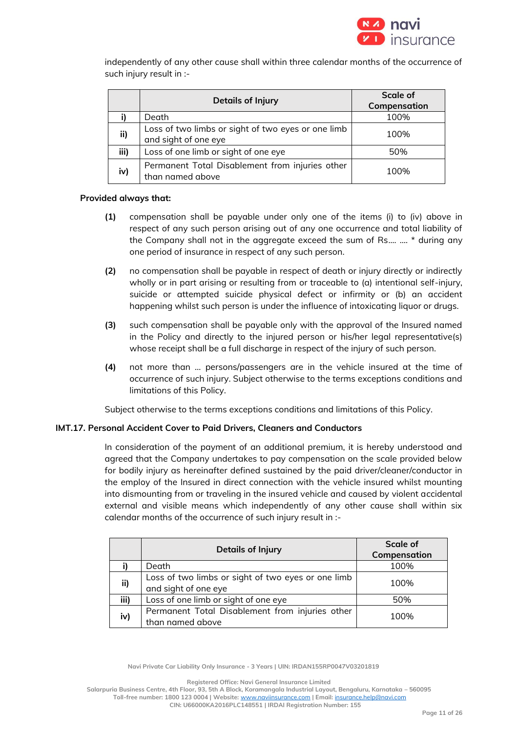

independently of any other cause shall within three calendar months of the occurrence of such injury result in :-

|      | <b>Details of Injury</b>                                                   | <b>Scale of</b> |
|------|----------------------------------------------------------------------------|-----------------|
|      |                                                                            | Compensation    |
|      | Death                                                                      | 100%            |
| ii)  | Loss of two limbs or sight of two eyes or one limb<br>and sight of one eye | 100%            |
| iii) | Loss of one limb or sight of one eye                                       | 50%             |
| iv)  | Permanent Total Disablement from injuries other<br>than named above        | 100%            |

### **Provided always that:**

- **(1)** compensation shall be payable under only one of the items (i) to (iv) above in respect of any such person arising out of any one occurrence and total liability of the Company shall not in the aggregate exceed the sum of Rs.... …. \* during any one period of insurance in respect of any such person.
- **(2)** no compensation shall be payable in respect of death or injury directly or indirectly wholly or in part arising or resulting from or traceable to (a) intentional self-injury, suicide or attempted suicide physical defect or infirmity or (b) an accident happening whilst such person is under the influence of intoxicating liquor or drugs.
- **(3)** such compensation shall be payable only with the approval of the Insured named in the Policy and directly to the injured person or his/her legal representative(s) whose receipt shall be a full discharge in respect of the injury of such person.
- **(4)** not more than … persons/passengers are in the vehicle insured at the time of occurrence of such injury. Subject otherwise to the terms exceptions conditions and limitations of this Policy.

Subject otherwise to the terms exceptions conditions and limitations of this Policy.

## **IMT.17. Personal Accident Cover to Paid Drivers, Cleaners and Conductors**

In consideration of the payment of an additional premium, it is hereby understood and agreed that the Company undertakes to pay compensation on the scale provided below for bodily injury as hereinafter defined sustained by the paid driver/cleaner/conductor in the employ of the Insured in direct connection with the vehicle insured whilst mounting into dismounting from or traveling in the insured vehicle and caused by violent accidental external and visible means which independently of any other cause shall within six calendar months of the occurrence of such injury result in :-

|      | <b>Details of Injury</b>                                                   | Scale of<br>Compensation |
|------|----------------------------------------------------------------------------|--------------------------|
|      | Death                                                                      | 100%                     |
| ii)  | Loss of two limbs or sight of two eyes or one limb<br>and sight of one eye | 100%                     |
| iii) | Loss of one limb or sight of one eye                                       | 50%                      |
| iv)  | Permanent Total Disablement from injuries other<br>than named above        | 100%                     |

**Navi Private Car Liability Only Insurance - 3 Years | UIN: IRDAN155RP0047V03201819**

**Registered Office: Navi General Insurance Limited**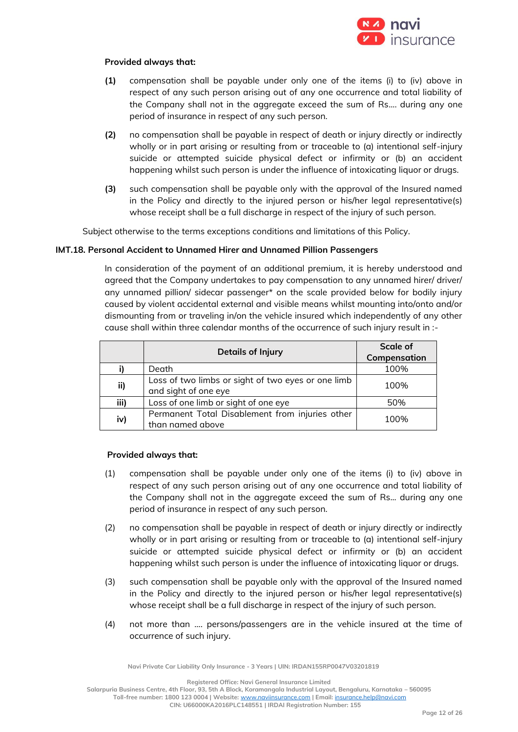

### **Provided always that:**

- **(1)** compensation shall be payable under only one of the items (i) to (iv) above in respect of any such person arising out of any one occurrence and total liability of the Company shall not in the aggregate exceed the sum of Rs.... during any one period of insurance in respect of any such person.
- **(2)** no compensation shall be payable in respect of death or injury directly or indirectly wholly or in part arising or resulting from or traceable to (a) intentional self-injury suicide or attempted suicide physical defect or infirmity or (b) an accident happening whilst such person is under the influence of intoxicating liquor or drugs.
- **(3)** such compensation shall be payable only with the approval of the Insured named in the Policy and directly to the injured person or his/her legal representative(s) whose receipt shall be a full discharge in respect of the injury of such person.

Subject otherwise to the terms exceptions conditions and limitations of this Policy.

### **IMT.18. Personal Accident to Unnamed Hirer and Unnamed Pillion Passengers**

In consideration of the payment of an additional premium, it is hereby understood and agreed that the Company undertakes to pay compensation to any unnamed hirer/ driver/ any unnamed pillion/ sidecar passenger\* on the scale provided below for bodily injury caused by violent accidental external and visible means whilst mounting into/onto and/or dismounting from or traveling in/on the vehicle insured which independently of any other cause shall within three calendar months of the occurrence of such injury result in :-

|      | Details of Injury                                                          | <b>Scale of</b> |
|------|----------------------------------------------------------------------------|-----------------|
|      |                                                                            | Compensation    |
|      | Death                                                                      | 100%            |
| ii)  | Loss of two limbs or sight of two eyes or one limb<br>and sight of one eye | 100%            |
| iii) | Loss of one limb or sight of one eye                                       | 50%             |
| iv)  | Permanent Total Disablement from injuries other<br>than named above        | 100%            |

#### **Provided always that:**

- (1) compensation shall be payable under only one of the items (i) to (iv) above in respect of any such person arising out of any one occurrence and total liability of the Company shall not in the aggregate exceed the sum of Rs... during any one period of insurance in respect of any such person.
- (2) no compensation shall be payable in respect of death or injury directly or indirectly wholly or in part arising or resulting from or traceable to (a) intentional self-injury suicide or attempted suicide physical defect or infirmity or (b) an accident happening whilst such person is under the influence of intoxicating liquor or drugs.
- (3) such compensation shall be payable only with the approval of the Insured named in the Policy and directly to the injured person or his/her legal representative(s) whose receipt shall be a full discharge in respect of the injury of such person.
- (4) not more than …. persons/passengers are in the vehicle insured at the time of occurrence of such injury.

**Navi Private Car Liability Only Insurance - 3 Years | UIN: IRDAN155RP0047V03201819**

**Registered Office: Navi General Insurance Limited**

**Salarpuria Business Centre, 4th Floor, 93, 5th A Block, Koramangala Industrial Layout, Bengaluru, Karnataka – 560095**

**Toll-free number: 1800 123 0004 | Website:** [www.naviinsurance.com](http://www.naviinsurance.com/) **| Email:** [insurance.help@navi.com](mailto:insurance.help@navi.com)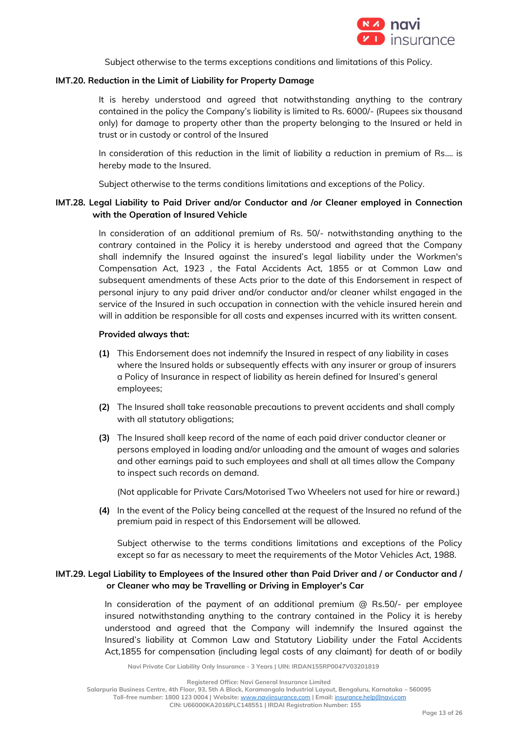

Subject otherwise to the terms exceptions conditions and limitations of this Policy.

### **IMT.20. Reduction in the Limit of Liability for Property Damage**

It is hereby understood and agreed that notwithstanding anything to the contrary contained in the policy the Company's liability is limited to Rs. 6000/- (Rupees six thousand only) for damage to property other than the property belonging to the Insured or held in trust or in custody or control of the Insured

In consideration of this reduction in the limit of liability a reduction in premium of Rs…. is hereby made to the Insured.

Subject otherwise to the terms conditions limitations and exceptions of the Policy.

## **IMT.28. Legal Liability to Paid Driver and/or Conductor and /or Cleaner employed in Connection with the Operation of Insured Vehicle**

In consideration of an additional premium of Rs. 50/- notwithstanding anything to the contrary contained in the Policy it is hereby understood and agreed that the Company shall indemnify the Insured against the insured's legal liability under the Workmen's Compensation Act, 1923 , the Fatal Accidents Act, 1855 or at Common Law and subsequent amendments of these Acts prior to the date of this Endorsement in respect of personal injury to any paid driver and/or conductor and/or cleaner whilst engaged in the service of the Insured in such occupation in connection with the vehicle insured herein and will in addition be responsible for all costs and expenses incurred with its written consent.

#### **Provided always that:**

- **(1)** This Endorsement does not indemnify the Insured in respect of any liability in cases where the Insured holds or subsequently effects with any insurer or group of insurers a Policy of Insurance in respect of liability as herein defined for Insured's general employees;
- **(2)** The Insured shall take reasonable precautions to prevent accidents and shall comply with all statutory obligations;
- **(3)** The Insured shall keep record of the name of each paid driver conductor cleaner or persons employed in loading and/or unloading and the amount of wages and salaries and other earnings paid to such employees and shall at all times allow the Company to inspect such records on demand.

(Not applicable for Private Cars/Motorised Two Wheelers not used for hire or reward.)

**(4)** In the event of the Policy being cancelled at the request of the Insured no refund of the premium paid in respect of this Endorsement will be allowed.

Subject otherwise to the terms conditions limitations and exceptions of the Policy except so far as necessary to meet the requirements of the Motor Vehicles Act, 1988.

## **IMT.29. Legal Liability to Employees of the Insured other than Paid Driver and / or Conductor and / or Cleaner who may be Travelling or Driving in Employer's Car**

In consideration of the payment of an additional premium  $\textcircled{a}$  Rs.50/- per employee insured notwithstanding anything to the contrary contained in the Policy it is hereby understood and agreed that the Company will indemnify the Insured against the Insured's liability at Common Law and Statutory Liability under the Fatal Accidents Act,1855 for compensation (including legal costs of any claimant) for death of or bodily

**Navi Private Car Liability Only Insurance - 3 Years | UIN: IRDAN155RP0047V03201819**

**Salarpuria Business Centre, 4th Floor, 93, 5th A Block, Koramangala Industrial Layout, Bengaluru, Karnataka – 560095 Toll-free number: 1800 123 0004 | Website:** [www.naviinsurance.com](http://www.naviinsurance.com/) **| Email:** [insurance.help@navi.com](mailto:insurance.help@navi.com)

**Registered Office: Navi General Insurance Limited**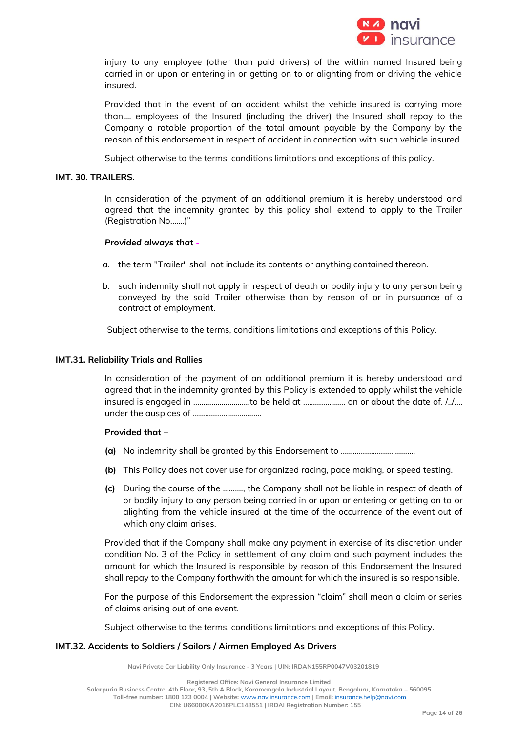

injury to any employee (other than paid drivers) of the within named Insured being carried in or upon or entering in or getting on to or alighting from or driving the vehicle insured.

Provided that in the event of an accident whilst the vehicle insured is carrying more than.... employees of the Insured (including the driver) the Insured shall repay to the Company a ratable proportion of the total amount payable by the Company by the reason of this endorsement in respect of accident in connection with such vehicle insured.

Subject otherwise to the terms, conditions limitations and exceptions of this policy.

### **IMT. 30. TRAILERS.**

In consideration of the payment of an additional premium it is hereby understood and agreed that the indemnity granted by this policy shall extend to apply to the Trailer (Registration No.......)"

#### *Provided always that -*

- a. the term "Trailer" shall not include its contents or anything contained thereon.
- b. such indemnity shall not apply in respect of death or bodily injury to any person being conveyed by the said Trailer otherwise than by reason of or in pursuance of a contract of employment.

Subject otherwise to the terms, conditions limitations and exceptions of this Policy.

#### **IMT.31. Reliability Trials and Rallies**

In consideration of the payment of an additional premium it is hereby understood and agreed that in the indemnity granted by this Policy is extended to apply whilst the vehicle insured is engaged in ……………………….to be held at ………………… on or about the date of. /../…. under the auspices of …………………………….

### **Provided that –**

- **(a)** No indemnity shall be granted by this Endorsement to ……………………………….
- **(b)** This Policy does not cover use for organized racing, pace making, or speed testing.
- **(c)** During the course of the ………., the Company shall not be liable in respect of death of or bodily injury to any person being carried in or upon or entering or getting on to or alighting from the vehicle insured at the time of the occurrence of the event out of which any claim arises.

Provided that if the Company shall make any payment in exercise of its discretion under condition No. 3 of the Policy in settlement of any claim and such payment includes the amount for which the Insured is responsible by reason of this Endorsement the Insured shall repay to the Company forthwith the amount for which the insured is so responsible.

For the purpose of this Endorsement the expression "claim" shall mean a claim or series of claims arising out of one event.

Subject otherwise to the terms, conditions limitations and exceptions of this Policy.

#### **IMT.32. Accidents to Soldiers / Sailors / Airmen Employed As Drivers**

**Navi Private Car Liability Only Insurance - 3 Years | UIN: IRDAN155RP0047V03201819**

**Registered Office: Navi General Insurance Limited**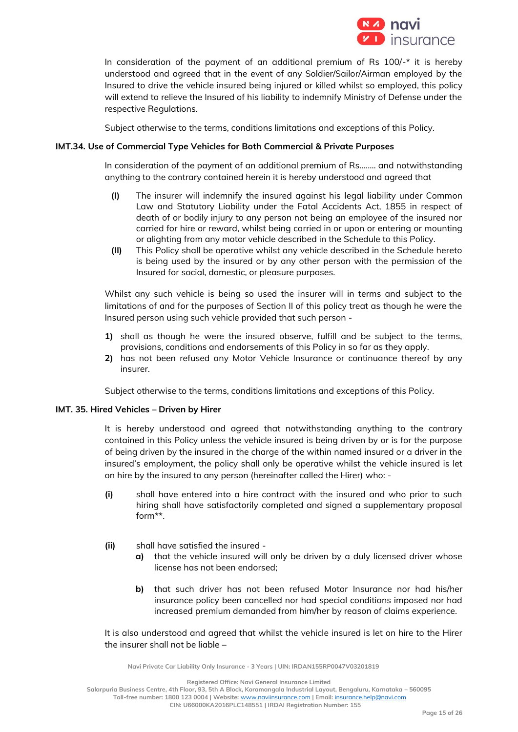

In consideration of the payment of an additional premium of Rs  $100/-$ \* it is hereby understood and agreed that in the event of any Soldier/Sailor/Airman employed by the Insured to drive the vehicle insured being injured or killed whilst so employed, this policy will extend to relieve the Insured of his liability to indemnify Ministry of Defense under the respective Regulations.

Subject otherwise to the terms, conditions limitations and exceptions of this Policy.

## **IMT.34. Use of Commercial Type Vehicles for Both Commercial & Private Purposes**

In consideration of the payment of an additional premium of Rs.……. and notwithstanding anything to the contrary contained herein it is hereby understood and agreed that

- **(I)** The insurer will indemnify the insured against his legal liability under Common Law and Statutory Liability under the Fatal Accidents Act, 1855 in respect of death of or bodily injury to any person not being an employee of the insured nor carried for hire or reward, whilst being carried in or upon or entering or mounting or alighting from any motor vehicle described in the Schedule to this Policy.
- **(II)** This Policy shall be operative whilst any vehicle described in the Schedule hereto is being used by the insured or by any other person with the permission of the Insured for social, domestic, or pleasure purposes.

Whilst any such vehicle is being so used the insurer will in terms and subject to the limitations of and for the purposes of Section II of this policy treat as though he were the Insured person using such vehicle provided that such person -

- **1)** shall as though he were the insured observe, fulfill and be subject to the terms, provisions, conditions and endorsements of this Policy in so far as they apply.
- **2)** has not been refused any Motor Vehicle Insurance or continuance thereof by any insurer.

Subject otherwise to the terms, conditions limitations and exceptions of this Policy.

## **IMT. 35. Hired Vehicles – Driven by Hirer**

It is hereby understood and agreed that notwithstanding anything to the contrary contained in this Policy unless the vehicle insured is being driven by or is for the purpose of being driven by the insured in the charge of the within named insured or a driver in the insured's employment, the policy shall only be operative whilst the vehicle insured is let on hire by the insured to any person (hereinafter called the Hirer) who: -

- **(i)** shall have entered into a hire contract with the insured and who prior to such hiring shall have satisfactorily completed and signed a supplementary proposal form\*\*.
- **(ii)** shall have satisfied the insured
	- **a)** that the vehicle insured will only be driven by a duly licensed driver whose license has not been endorsed;
	- **b)** that such driver has not been refused Motor Insurance nor had his/her insurance policy been cancelled nor had special conditions imposed nor had increased premium demanded from him/her by reason of claims experience.

It is also understood and agreed that whilst the vehicle insured is let on hire to the Hirer the insurer shall not be liable –

**Navi Private Car Liability Only Insurance - 3 Years | UIN: IRDAN155RP0047V03201819**

**Registered Office: Navi General Insurance Limited**

**Salarpuria Business Centre, 4th Floor, 93, 5th A Block, Koramangala Industrial Layout, Bengaluru, Karnataka – 560095 Toll-free number: 1800 123 0004 | Website:** [www.naviinsurance.com](http://www.naviinsurance.com/) **| Email:** [insurance.help@navi.com](mailto:insurance.help@navi.com)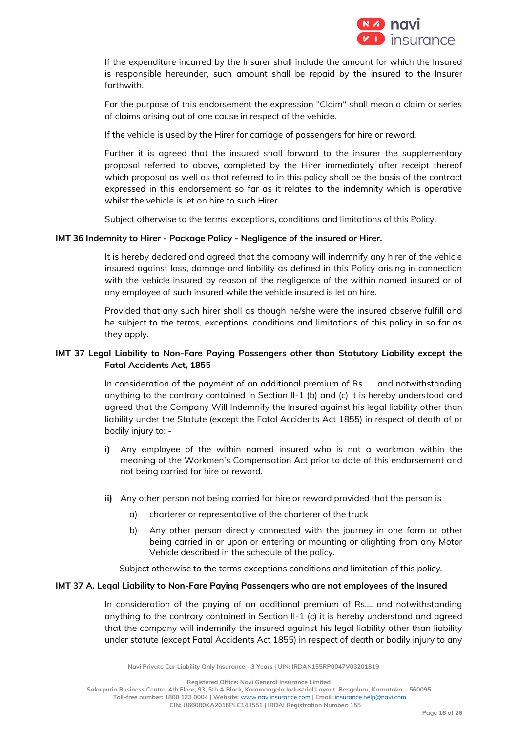

If the expenditure incurred by the Insurer shall include the amount for which the Insured is responsible hereunder, such amount shall be repaid by the insured to the Insurer forthwith.

For the purpose of this endorsement the expression "Claim" shall mean a claim or series of claims arising out of one cause in respect of the vehicle.

If the vehicle is used by the Hirer for carriage of passengers for hire or reward.

Further it is agreed that the insured shall forward to the insurer the supplementary proposal referred to above, completed by the Hirer immediately after receipt thereof which proposal as well as that referred to in this policy shall be the basis of the contract expressed in this endorsement so far as it relates to the indemnity which is operative whilst the vehicle is let on hire to such Hirer.

Subject otherwise to the terms, exceptions, conditions and limitations of this Policy.

## **IMT 36 Indemnity to Hirer - Package Policy - Negligence of the insured or Hirer.**

It is hereby declared and agreed that the company will indemnify any hirer of the vehicle insured against loss, damage and liability as defined in this Policy arising in connection with the vehicle insured by reason of the negligence of the within named insured or of any employee of such insured while the vehicle insured is let on hire.

Provided that any such hirer shall as though he/she were the insured observe fulfill and be subject to the terms, exceptions, conditions and limitations of this policy in so far as they apply.

## **IMT 37 Legal Liability to Non-Fare Paying Passengers other than Statutory Liability except the Fatal Accidents Act, 1855**

In consideration of the payment of an additional premium of Rs…… and notwithstanding anything to the contrary contained in Section II-1 (b) and (c) it is hereby understood and agreed that the Company Will Indemnify the Insured against his legal liability other than liability under the Statute (except the Fatal Accidents Act 1855) in respect of death of or bodily injury to: -

- **i)** Any employee of the within named insured who is not a workman within the meaning of the Workmen's Compensation Act prior to date of this endorsement and not being carried for hire or reward.
- **ii)** Any other person not being carried for hire or reward provided that the person is
	- a) charterer or representative of the charterer of the truck
	- b) Any other person directly connected with the journey in one form or other being carried in or upon or entering or mounting or alighting from any Motor Vehicle described in the schedule of the policy.

Subject otherwise to the terms exceptions conditions and limitation of this policy.

#### **IMT 37 A. Legal Liability to Non-Fare Paying Passengers who are not employees of the Insured**

In consideration of the paying of an additional premium of Rs…. and notwithstanding anything to the contrary contained in Section II-1 (c) it is hereby understood and agreed that the company will indemnify the insured against his legal liability other than liability under statute (except Fatal Accidents Act 1855) in respect of death or bodily injury to any

**Navi Private Car Liability Only Insurance - 3 Years | UIN: IRDAN155RP0047V03201819**

**Registered Office: Navi General Insurance Limited**

**Salarpuria Business Centre, 4th Floor, 93, 5th A Block, Koramangala Industrial Layout, Bengaluru, Karnataka – 560095 Toll-free number: 1800 123 0004 | Website:** [www.naviinsurance.com](http://www.naviinsurance.com/) **| Email:** [insurance.help@navi.com](mailto:insurance.help@navi.com)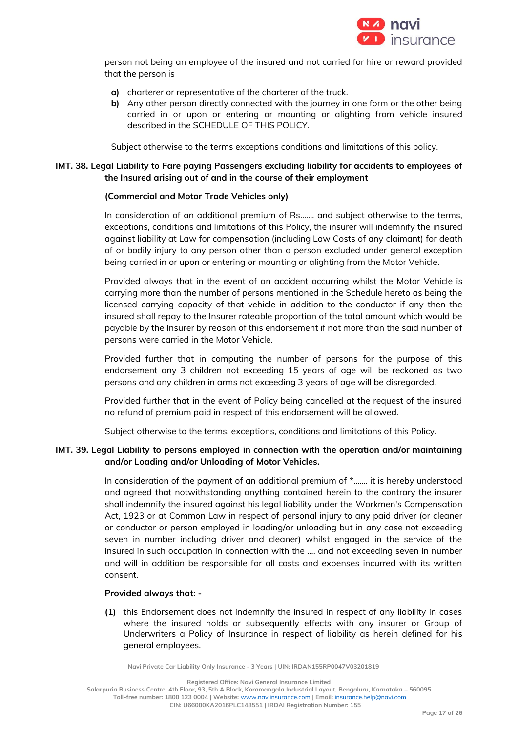

person not being an employee of the insured and not carried for hire or reward provided that the person is

- **a)** charterer or representative of the charterer of the truck.
- **b)** Any other person directly connected with the journey in one form or the other being carried in or upon or entering or mounting or alighting from vehicle insured described in the SCHEDULE OF THIS POLICY.

Subject otherwise to the terms exceptions conditions and limitations of this policy.

## **IMT. 38. Legal Liability to Fare paying Passengers excluding liability for accidents to employees of the Insured arising out of and in the course of their employment**

### **(Commercial and Motor Trade Vehicles only)**

In consideration of an additional premium of Rs....... and subject otherwise to the terms, exceptions, conditions and limitations of this Policy, the insurer will indemnify the insured against liability at Law for compensation (including Law Costs of any claimant) for death of or bodily injury to any person other than a person excluded under general exception being carried in or upon or entering or mounting or alighting from the Motor Vehicle.

Provided always that in the event of an accident occurring whilst the Motor Vehicle is carrying more than the number of persons mentioned in the Schedule hereto as being the licensed carrying capacity of that vehicle in addition to the conductor if any then the insured shall repay to the Insurer rateable proportion of the total amount which would be payable by the Insurer by reason of this endorsement if not more than the said number of persons were carried in the Motor Vehicle.

Provided further that in computing the number of persons for the purpose of this endorsement any 3 children not exceeding 15 years of age will be reckoned as two persons and any children in arms not exceeding 3 years of age will be disregarded.

Provided further that in the event of Policy being cancelled at the request of the insured no refund of premium paid in respect of this endorsement will be allowed.

Subject otherwise to the terms, exceptions, conditions and limitations of this Policy.

## **IMT. 39. Legal Liability to persons employed in connection with the operation and/or maintaining and/or Loading and/or Unloading of Motor Vehicles.**

In consideration of the payment of an additional premium of \*.…... it is hereby understood and agreed that notwithstanding anything contained herein to the contrary the insurer shall indemnify the insured against his legal liability under the Workmen's Compensation Act, 1923 or at Common Law in respect of personal injury to any paid driver (or cleaner or conductor or person employed in loading/or unloading but in any case not exceeding seven in number including driver and cleaner) whilst engaged in the service of the insured in such occupation in connection with the .... and not exceeding seven in number and will in addition be responsible for all costs and expenses incurred with its written consent.

## **Provided always that: -**

**(1)** this Endorsement does not indemnify the insured in respect of any liability in cases where the insured holds or subsequently effects with any insurer or Group of Underwriters a Policy of Insurance in respect of liability as herein defined for his general employees.

**Navi Private Car Liability Only Insurance - 3 Years | UIN: IRDAN155RP0047V03201819**

**Registered Office: Navi General Insurance Limited**

**Salarpuria Business Centre, 4th Floor, 93, 5th A Block, Koramangala Industrial Layout, Bengaluru, Karnataka – 560095 Toll-free number: 1800 123 0004 | Website:** [www.naviinsurance.com](http://www.naviinsurance.com/) **| Email:** [insurance.help@navi.com](mailto:insurance.help@navi.com)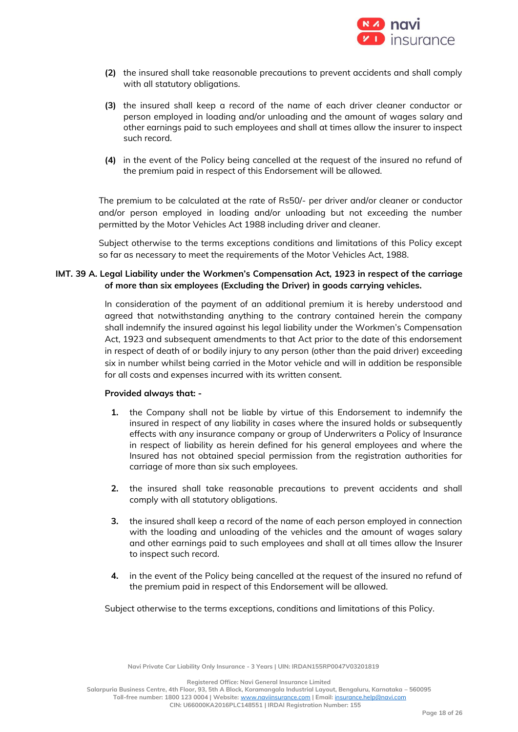

- **(2)** the insured shall take reasonable precautions to prevent accidents and shall comply with all statutory obligations.
- **(3)** the insured shall keep a record of the name of each driver cleaner conductor or person employed in loading and/or unloading and the amount of wages salary and other earnings paid to such employees and shall at times allow the insurer to inspect such record.
- **(4)** in the event of the Policy being cancelled at the request of the insured no refund of the premium paid in respect of this Endorsement will be allowed.

The premium to be calculated at the rate of Rs50/- per driver and/or cleaner or conductor and/or person employed in loading and/or unloading but not exceeding the number permitted by the Motor Vehicles Act 1988 including driver and cleaner.

Subject otherwise to the terms exceptions conditions and limitations of this Policy except so far as necessary to meet the requirements of the Motor Vehicles Act, 1988.

### **IMT. 39 A. Legal Liability under the Workmen's Compensation Act, 1923 in respect of the carriage of more than six employees (Excluding the Driver) in goods carrying vehicles.**

In consideration of the payment of an additional premium it is hereby understood and agreed that notwithstanding anything to the contrary contained herein the company shall indemnify the insured against his legal liability under the Workmen's Compensation Act, 1923 and subsequent amendments to that Act prior to the date of this endorsement in respect of death of or bodily injury to any person (other than the paid driver) exceeding six in number whilst being carried in the Motor vehicle and will in addition be responsible for all costs and expenses incurred with its written consent.

#### **Provided always that: -**

- **1.** the Company shall not be liable by virtue of this Endorsement to indemnify the insured in respect of any liability in cases where the insured holds or subsequently effects with any insurance company or group of Underwriters a Policy of Insurance in respect of liability as herein defined for his general employees and where the Insured has not obtained special permission from the registration authorities for carriage of more than six such employees.
- **2.** the insured shall take reasonable precautions to prevent accidents and shall comply with all statutory obligations.
- **3.** the insured shall keep a record of the name of each person employed in connection with the loading and unloading of the vehicles and the amount of wages salary and other earnings paid to such employees and shall at all times allow the Insurer to inspect such record.
- **4.** in the event of the Policy being cancelled at the request of the insured no refund of the premium paid in respect of this Endorsement will be allowed.

Subject otherwise to the terms exceptions, conditions and limitations of this Policy.

**Navi Private Car Liability Only Insurance - 3 Years | UIN: IRDAN155RP0047V03201819**

**Registered Office: Navi General Insurance Limited**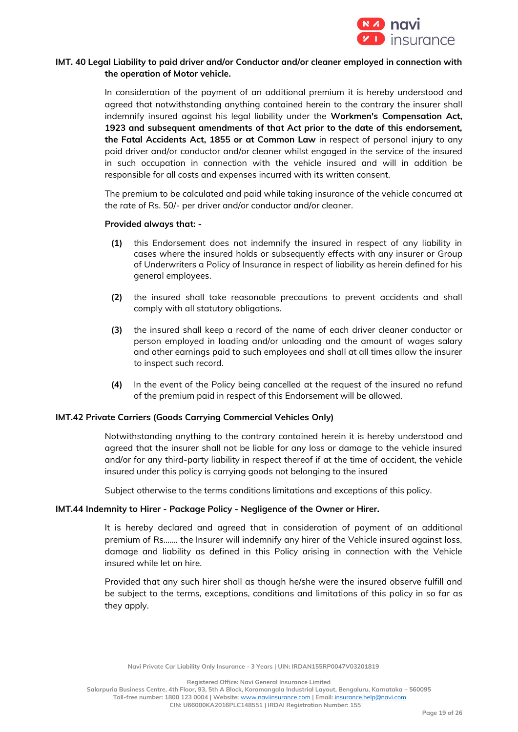

# **IMT. 40 Legal Liability to paid driver and/or Conductor and/or cleaner employed in connection with the operation of Motor vehicle.**

In consideration of the payment of an additional premium it is hereby understood and agreed that notwithstanding anything contained herein to the contrary the insurer shall indemnify insured against his legal liability under the **Workmen's Compensation Act, 1923 and subsequent amendments of that Act prior to the date of this endorsement, the Fatal Accidents Act, 1855 or at Common Law** in respect of personal injury to any paid driver and/or conductor and/or cleaner whilst engaged in the service of the insured in such occupation in connection with the vehicle insured and will in addition be responsible for all costs and expenses incurred with its written consent.

The premium to be calculated and paid while taking insurance of the vehicle concurred at the rate of Rs. 50/- per driver and/or conductor and/or cleaner.

### **Provided always that: -**

- **(1)** this Endorsement does not indemnify the insured in respect of any liability in cases where the insured holds or subsequently effects with any insurer or Group of Underwriters a Policy of Insurance in respect of liability as herein defined for his general employees.
- **(2)** the insured shall take reasonable precautions to prevent accidents and shall comply with all statutory obligations.
- **(3)** the insured shall keep a record of the name of each driver cleaner conductor or person employed in loading and/or unloading and the amount of wages salary and other earnings paid to such employees and shall at all times allow the insurer to inspect such record.
- **(4)** In the event of the Policy being cancelled at the request of the insured no refund of the premium paid in respect of this Endorsement will be allowed.

### **IMT.42 Private Carriers (Goods Carrying Commercial Vehicles Only)**

Notwithstanding anything to the contrary contained herein it is hereby understood and agreed that the insurer shall not be liable for any loss or damage to the vehicle insured and/or for any third-party liability in respect thereof if at the time of accident, the vehicle insured under this policy is carrying goods not belonging to the insured

Subject otherwise to the terms conditions limitations and exceptions of this policy.

#### **IMT.44 Indemnity to Hirer - Package Policy - Negligence of the Owner or Hirer.**

It is hereby declared and agreed that in consideration of payment of an additional premium of Rs……. the Insurer will indemnify any hirer of the Vehicle insured against loss, damage and liability as defined in this Policy arising in connection with the Vehicle insured while let on hire.

Provided that any such hirer shall as though he/she were the insured observe fulfill and be subject to the terms, exceptions, conditions and limitations of this policy in so far as they apply.

**Registered Office: Navi General Insurance Limited**

**Salarpuria Business Centre, 4th Floor, 93, 5th A Block, Koramangala Industrial Layout, Bengaluru, Karnataka – 560095 Toll-free number: 1800 123 0004 | Website:** [www.naviinsurance.com](http://www.naviinsurance.com/) **| Email:** [insurance.help@navi.com](mailto:insurance.help@navi.com)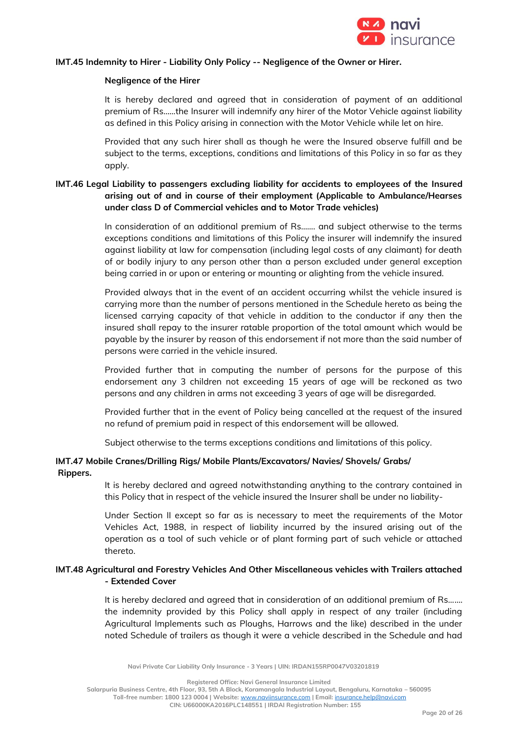

## **IMT.45 Indemnity to Hirer - Liability Only Policy -- Negligence of the Owner or Hirer.**

#### **Negligence of the Hirer**

It is hereby declared and agreed that in consideration of payment of an additional premium of Rs……the Insurer will indemnify any hirer of the Motor Vehicle against liability as defined in this Policy arising in connection with the Motor Vehicle while let on hire.

Provided that any such hirer shall as though he were the Insured observe fulfill and be subject to the terms, exceptions, conditions and limitations of this Policy in so far as they apply.

# **IMT.46 Legal Liability to passengers excluding liability for accidents to employees of the Insured arising out of and in course of their employment (Applicable to Ambulance/Hearses under class D of Commercial vehicles and to Motor Trade vehicles)**

In consideration of an additional premium of Rs……. and subject otherwise to the terms exceptions conditions and limitations of this Policy the insurer will indemnify the insured against liability at law for compensation (including legal costs of any claimant) for death of or bodily injury to any person other than a person excluded under general exception being carried in or upon or entering or mounting or alighting from the vehicle insured.

Provided always that in the event of an accident occurring whilst the vehicle insured is carrying more than the number of persons mentioned in the Schedule hereto as being the licensed carrying capacity of that vehicle in addition to the conductor if any then the insured shall repay to the insurer ratable proportion of the total amount which would be payable by the insurer by reason of this endorsement if not more than the said number of persons were carried in the vehicle insured.

Provided further that in computing the number of persons for the purpose of this endorsement any 3 children not exceeding 15 years of age will be reckoned as two persons and any children in arms not exceeding 3 years of age will be disregarded.

Provided further that in the event of Policy being cancelled at the request of the insured no refund of premium paid in respect of this endorsement will be allowed.

Subject otherwise to the terms exceptions conditions and limitations of this policy.

## **IMT.47 Mobile Cranes/Drilling Rigs/ Mobile Plants/Excavators/ Navies/ Shovels/ Grabs/ Rippers.**

It is hereby declared and agreed notwithstanding anything to the contrary contained in this Policy that in respect of the vehicle insured the Insurer shall be under no liability-

Under Section II except so far as is necessary to meet the requirements of the Motor Vehicles Act, 1988, in respect of liability incurred by the insured arising out of the operation as a tool of such vehicle or of plant forming part of such vehicle or attached thereto.

## **IMT.48 Agricultural and Forestry Vehicles And Other Miscellaneous vehicles with Trailers attached - Extended Cover**

It is hereby declared and agreed that in consideration of an additional premium of Rs……. the indemnity provided by this Policy shall apply in respect of any trailer (including Agricultural Implements such as Ploughs, Harrows and the like) described in the under noted Schedule of trailers as though it were a vehicle described in the Schedule and had

**Navi Private Car Liability Only Insurance - 3 Years | UIN: IRDAN155RP0047V03201819**

**Registered Office: Navi General Insurance Limited**

**Salarpuria Business Centre, 4th Floor, 93, 5th A Block, Koramangala Industrial Layout, Bengaluru, Karnataka – 560095 Toll-free number: 1800 123 0004 | Website:** [www.naviinsurance.com](http://www.naviinsurance.com/) **| Email:** [insurance.help@navi.com](mailto:insurance.help@navi.com)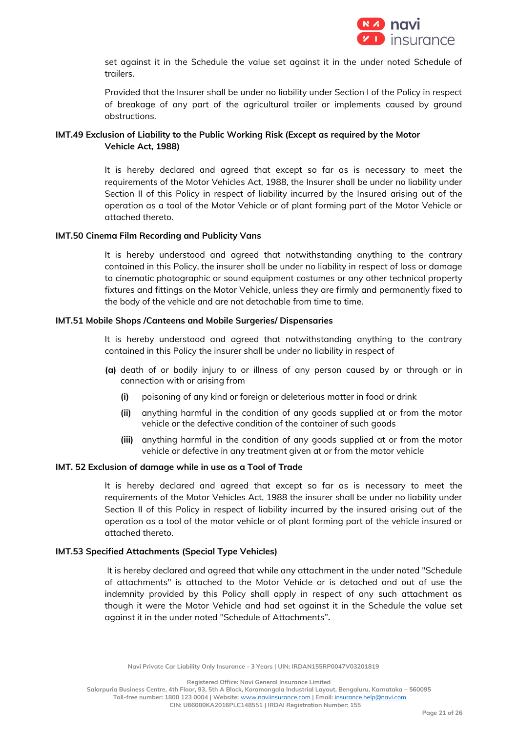

set against it in the Schedule the value set against it in the under noted Schedule of trailers.

Provided that the Insurer shall be under no liability under Section I of the Policy in respect of breakage of any part of the agricultural trailer or implements caused by ground obstructions.

# **IMT.49 Exclusion of Liability to the Public Working Risk (Except as required by the Motor Vehicle Act, 1988)**

It is hereby declared and agreed that except so far as is necessary to meet the requirements of the Motor Vehicles Act, 1988, the Insurer shall be under no liability under Section II of this Policy in respect of liability incurred by the Insured arising out of the operation as a tool of the Motor Vehicle or of plant forming part of the Motor Vehicle or attached thereto.

#### **IMT.50 Cinema Film Recording and Publicity Vans**

It is hereby understood and agreed that notwithstanding anything to the contrary contained in this Policy, the insurer shall be under no liability in respect of loss or damage to cinematic photographic or sound equipment costumes or any other technical property fixtures and fittings on the Motor Vehicle, unless they are firmly and permanently fixed to the body of the vehicle and are not detachable from time to time.

### **IMT.51 Mobile Shops /Canteens and Mobile Surgeries/ Dispensaries**

It is hereby understood and agreed that notwithstanding anything to the contrary contained in this Policy the insurer shall be under no liability in respect of

- **(a)** death of or bodily injury to or illness of any person caused by or through or in connection with or arising from
	- **(i)** poisoning of any kind or foreign or deleterious matter in food or drink
	- **(ii)** anything harmful in the condition of any goods supplied at or from the motor vehicle or the defective condition of the container of such goods
	- **(iii)** anything harmful in the condition of any goods supplied at or from the motor vehicle or defective in any treatment given at or from the motor vehicle

#### **IMT. 52 Exclusion of damage while in use as a Tool of Trade**

It is hereby declared and agreed that except so far as is necessary to meet the requirements of the Motor Vehicles Act, 1988 the insurer shall be under no liability under Section II of this Policy in respect of liability incurred by the insured arising out of the operation as a tool of the motor vehicle or of plant forming part of the vehicle insured or attached thereto.

### **IMT.53 Specified Attachments (Special Type Vehicles)**

It is hereby declared and agreed that while any attachment in the under noted "Schedule of attachments" is attached to the Motor Vehicle or is detached and out of use the indemnity provided by this Policy shall apply in respect of any such attachment as though it were the Motor Vehicle and had set against it in the Schedule the value set against it in the under noted "Schedule of Attachments"**.**

**Navi Private Car Liability Only Insurance - 3 Years | UIN: IRDAN155RP0047V03201819**

**Registered Office: Navi General Insurance Limited**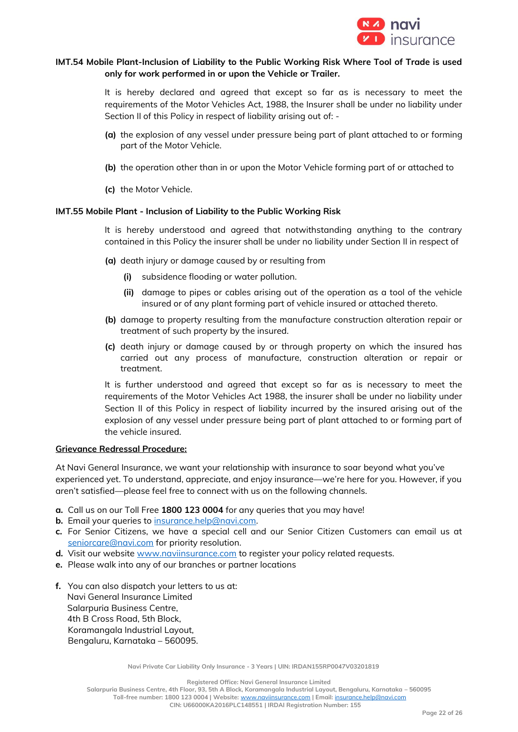

## **IMT.54 Mobile Plant-Inclusion of Liability to the Public Working Risk Where Tool of Trade is used only for work performed in or upon the Vehicle or Trailer.**

It is hereby declared and agreed that except so far as is necessary to meet the requirements of the Motor Vehicles Act, 1988, the Insurer shall be under no liability under Section II of this Policy in respect of liability arising out of: -

- **(a)** the explosion of any vessel under pressure being part of plant attached to or forming part of the Motor Vehicle.
- **(b)** the operation other than in or upon the Motor Vehicle forming part of or attached to
- **(c)** the Motor Vehicle.

#### **IMT.55 Mobile Plant - Inclusion of Liability to the Public Working Risk**

It is hereby understood and agreed that notwithstanding anything to the contrary contained in this Policy the insurer shall be under no liability under Section II in respect of

- **(a)** death injury or damage caused by or resulting from
	- **(i)** subsidence flooding or water pollution.
	- **(ii)** damage to pipes or cables arising out of the operation as a tool of the vehicle insured or of any plant forming part of vehicle insured or attached thereto.
- **(b)** damage to property resulting from the manufacture construction alteration repair or treatment of such property by the insured.
- **(c)** death injury or damage caused by or through property on which the insured has carried out any process of manufacture, construction alteration or repair or treatment.

It is further understood and agreed that except so far as is necessary to meet the requirements of the Motor Vehicles Act 1988, the insurer shall be under no liability under Section II of this Policy in respect of liability incurred by the insured arising out of the explosion of any vessel under pressure being part of plant attached to or forming part of the vehicle insured.

#### **Grievance Redressal Procedure:**

At Navi General Insurance, we want your relationship with insurance to soar beyond what you've experienced yet. To understand, appreciate, and enjoy insurance—we're here for you. However, if you aren't satisfied—please feel free to connect with us on the following channels.

- **a.** Call us on our Toll Free **1800 123 0004** for any queries that you may have!
- **b.** Email your queries to **insurance**.help@navi.com.
- **c.** For Senior Citizens, we have a special cell and our Senior Citizen Customers can email us at [seniorcare@navi.com](mailto:seniorcare@navi.com) for priority resolution.
- **d.** Visit our website [www.naviinsurance.com](http://www.naviinsurance.com/) to register your policy related requests.
- **e.** Please walk into any of our branches or partner locations
- **f.** You can also dispatch your letters to us at: Navi General Insurance Limited Salarpuria Business Centre, 4th B Cross Road, 5th Block, Koramangala Industrial Layout, Bengaluru, Karnataka – 560095.

**Navi Private Car Liability Only Insurance - 3 Years | UIN: IRDAN155RP0047V03201819**

**Registered Office: Navi General Insurance Limited**

**Salarpuria Business Centre, 4th Floor, 93, 5th A Block, Koramangala Industrial Layout, Bengaluru, Karnataka – 560095 Toll-free number: 1800 123 0004 | Website:** [www.naviinsurance.com](http://www.naviinsurance.com/) **| Email:** [insurance.help@navi.com](mailto:insurance.help@navi.com)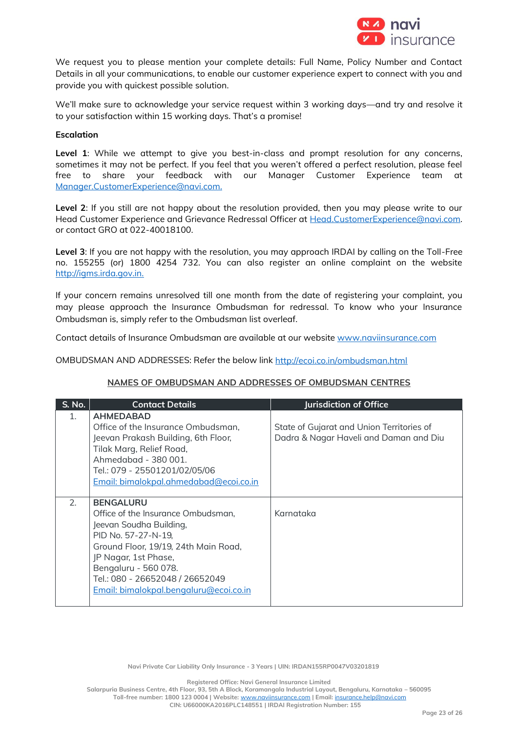

We request you to please mention your complete details: Full Name, Policy Number and Contact Details in all your communications, to enable our customer experience expert to connect with you and provide you with quickest possible solution.

We'll make sure to acknowledge your service request within 3 working days—and try and resolve it to your satisfaction within 15 working days. That's a promise!

### **Escalation**

Level 1: While we attempt to give you best-in-class and prompt resolution for any concerns, sometimes it may not be perfect. If you feel that you weren't offered a perfect resolution, please feel free to share your feedback with our Manager Customer Experience team at [Manager.CustomerExperience@navi.com.](mailto:Manager.CustomerExperience@navi.com)

**Level 2**: If you still are not happy about the resolution provided, then you may please write to our Head Customer Experience and Grievance Redressal Officer at Head.CustomerExperience@navi.com. or contact GRO at 022-40018100.

**Level 3**: If you are not happy with the resolution, you may approach IRDAI by calling on the Toll-Free no. 155255 (or) 1800 4254 732. You can also register an online complaint on the website http://igms.irda.gov.in.

If your concern remains unresolved till one month from the date of registering your complaint, you may please approach the Insurance Ombudsman for redressal. To know who your Insurance Ombudsman is, simply refer to the Ombudsman list overleaf.

Contact details of Insurance Ombudsman are available at our website [www.naviinsurance.com](http://www.naviinsurance.com/)

OMBUDSMAN AND ADDRESSES: Refer the below link <http://ecoi.co.in/ombudsman.html>

## **NAMES OF OMBUDSMAN AND ADDRESSES OF OMBUDSMAN CENTRES**

| <b>S. No.</b> | <b>Contact Details</b>                                                                                                                                                                                                                                                        | Jurisdiction of Office                                                              |
|---------------|-------------------------------------------------------------------------------------------------------------------------------------------------------------------------------------------------------------------------------------------------------------------------------|-------------------------------------------------------------------------------------|
| $1_{-}$       | <b>AHMEDABAD</b><br>Office of the Insurance Ombudsman.<br>Jeevan Prakash Building, 6th Floor,<br>Tilak Marg, Relief Road,<br>Ahmedabad - 380 001.                                                                                                                             | State of Gujarat and Union Territories of<br>Dadra & Nagar Haveli and Daman and Diu |
|               | Tel.: 079 - 25501201/02/05/06<br>Email: bimalokpal.ahmedabad@ecoi.co.in                                                                                                                                                                                                       |                                                                                     |
| 2.            | <b>BENGALURU</b><br>Office of the Insurance Ombudsman,<br>Jeevan Soudha Building,<br>PID No. 57-27-N-19,<br>Ground Floor, 19/19, 24th Main Road,<br>JP Nagar, 1st Phase,<br>Bengaluru - 560 078.<br>Tel.: 080 - 26652048 / 26652049<br>Email: bimalokpal.bengaluru@ecoi.co.in | Karnataka                                                                           |

**Navi Private Car Liability Only Insurance - 3 Years | UIN: IRDAN155RP0047V03201819**

**Registered Office: Navi General Insurance Limited**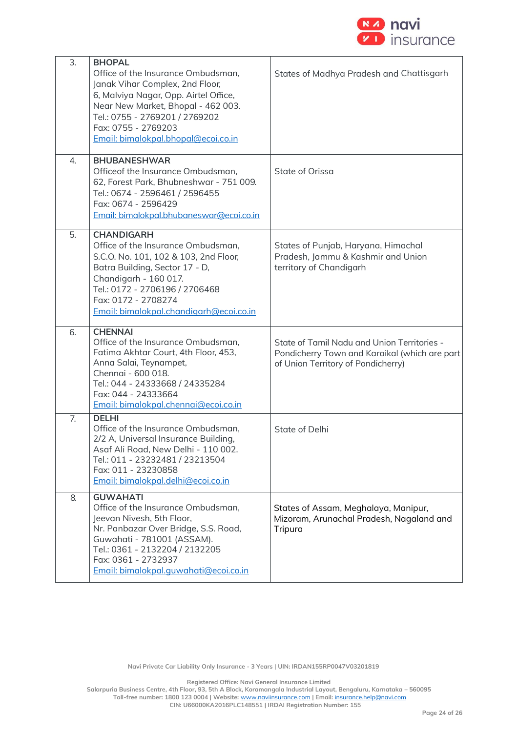

| 3. | <b>BHOPAL</b><br>Office of the Insurance Ombudsman,<br>Janak Vihar Complex, 2nd Floor,<br>6, Malviya Nagar, Opp. Airtel Office,<br>Near New Market, Bhopal - 462 003.<br>Tel.: 0755 - 2769201 / 2769202<br>Fax: 0755 - 2769203<br>Email: bimalokpal.bhopal@ecoi.co.in | States of Madhya Pradesh and Chattisgarh                                                                                           |
|----|-----------------------------------------------------------------------------------------------------------------------------------------------------------------------------------------------------------------------------------------------------------------------|------------------------------------------------------------------------------------------------------------------------------------|
| 4. | <b>BHUBANESHWAR</b><br>Officeof the Insurance Ombudsman,<br>62, Forest Park, Bhubneshwar - 751 009.<br>Tel.: 0674 - 2596461 / 2596455<br>Fax: 0674 - 2596429<br>Email: bimalokpal.bhubaneswar@ecoi.co.in                                                              | State of Orissa                                                                                                                    |
| 5. | <b>CHANDIGARH</b><br>Office of the Insurance Ombudsman,<br>S.C.O. No. 101, 102 & 103, 2nd Floor,<br>Batra Building, Sector 17 - D,<br>Chandigarh - 160 017.<br>Tel.: 0172 - 2706196 / 2706468<br>Fax: 0172 - 2708274<br>Email: bimalokpal.chandigarh@ecoi.co.in       | States of Punjab, Haryana, Himachal<br>Pradesh, Jammu & Kashmir and Union<br>territory of Chandigarh                               |
| 6. | <b>CHENNAI</b><br>Office of the Insurance Ombudsman,<br>Fatima Akhtar Court, 4th Floor, 453,<br>Anna Salai, Teynampet,<br>Chennai - 600 018.<br>Tel.: 044 - 24333668 / 24335284<br>Fax: 044 - 24333664<br>Email: bimalokpal.chennai@ecoi.co.in                        | State of Tamil Nadu and Union Territories -<br>Pondicherry Town and Karaikal (which are part<br>of Union Territory of Pondicherry) |
| 7. | <b>DELHI</b><br>Office of the Insurance Ombudsman,<br>2/2 A, Universal Insurance Building,<br>Asaf Ali Road, New Delhi - 110 002.<br>Tel.: 011 - 23232481 / 23213504<br>Fax: 011 - 23230858<br>Email: bimalokpal.delhi@ecoi.co.in                                     | State of Delhi                                                                                                                     |
| 8. | <b>GUWAHATI</b><br>Office of the Insurance Ombudsman,<br>Jeevan Nivesh, 5th Floor,<br>Nr. Panbazar Over Bridge, S.S. Road,<br>Guwahati - 781001 (ASSAM).<br>Tel.: 0361 - 2132204 / 2132205<br>Fax: 0361 - 2732937<br>Email: bimalokpal.quwahati@ecoi.co.in            | States of Assam, Meghalaya, Manipur,<br>Mizoram, Arunachal Pradesh, Nagaland and<br>Tripura                                        |

**Registered Office: Navi General Insurance Limited**

**Salarpuria Business Centre, 4th Floor, 93, 5th A Block, Koramangala Industrial Layout, Bengaluru, Karnataka – 560095 Toll-free number: 1800 123 0004 | Website:** [www.naviinsurance.com](http://www.naviinsurance.com/) **| Email:** [insurance.help@navi.com](mailto:insurance.help@navi.com)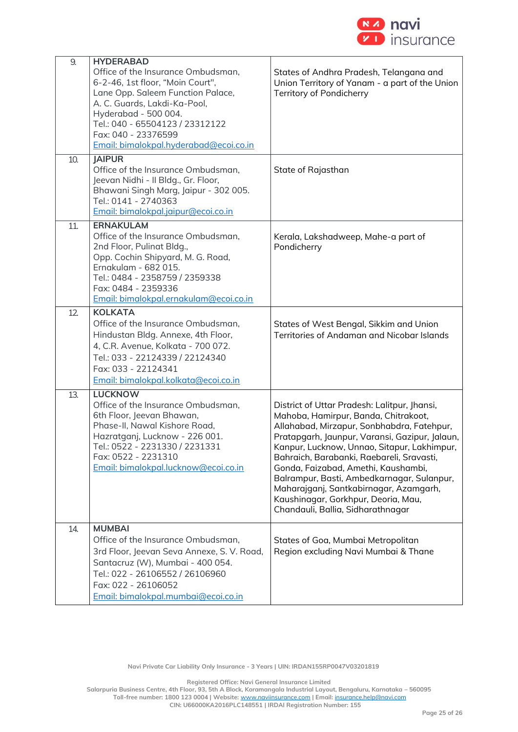

| $\overline{9}$ . | <b>HYDERABAD</b>                                                                                                                                                                                                                                      |                                                                                                                                                                                                                                                                                                                                                                                                                                                                                             |
|------------------|-------------------------------------------------------------------------------------------------------------------------------------------------------------------------------------------------------------------------------------------------------|---------------------------------------------------------------------------------------------------------------------------------------------------------------------------------------------------------------------------------------------------------------------------------------------------------------------------------------------------------------------------------------------------------------------------------------------------------------------------------------------|
|                  | Office of the Insurance Ombudsman,<br>6-2-46, 1st floor, "Moin Court",<br>Lane Opp. Saleem Function Palace,                                                                                                                                           | States of Andhra Pradesh, Telangana and<br>Union Territory of Yanam - a part of the Union<br>Territory of Pondicherry                                                                                                                                                                                                                                                                                                                                                                       |
|                  | A. C. Guards, Lakdi-Ka-Pool,<br>Hyderabad - 500 004.                                                                                                                                                                                                  |                                                                                                                                                                                                                                                                                                                                                                                                                                                                                             |
|                  | Tel.: 040 - 65504123 / 23312122                                                                                                                                                                                                                       |                                                                                                                                                                                                                                                                                                                                                                                                                                                                                             |
|                  | Fax: 040 - 23376599                                                                                                                                                                                                                                   |                                                                                                                                                                                                                                                                                                                                                                                                                                                                                             |
|                  | Email: bimalokpal.hyderabad@ecoi.co.in                                                                                                                                                                                                                |                                                                                                                                                                                                                                                                                                                                                                                                                                                                                             |
| 10.              | <b>JAIPUR</b><br>Office of the Insurance Ombudsman,<br>Jeevan Nidhi - Il Bldg., Gr. Floor,<br>Bhawani Singh Marg, Jaipur - 302 005.<br>Tel.: 0141 - 2740363<br>Email: bimalokpal.jaipur@ecoi.co.in                                                    | State of Rajasthan                                                                                                                                                                                                                                                                                                                                                                                                                                                                          |
| 11.              | <b>ERNAKULAM</b><br>Office of the Insurance Ombudsman,<br>2nd Floor, Pulinat Bldg.,<br>Opp. Cochin Shipyard, M. G. Road,<br>Ernakulam - 682 015.<br>Tel.: 0484 - 2358759 / 2359338<br>Fax: 0484 - 2359336<br>Email: bimalokpal.ernakulam@ecoi.co.in   | Kerala, Lakshadweep, Mahe-a part of<br>Pondicherry                                                                                                                                                                                                                                                                                                                                                                                                                                          |
| 12.              | <b>KOLKATA</b>                                                                                                                                                                                                                                        |                                                                                                                                                                                                                                                                                                                                                                                                                                                                                             |
|                  | Office of the Insurance Ombudsman,<br>Hindustan Bldg. Annexe, 4th Floor,<br>4, C.R. Avenue, Kolkata - 700 072.<br>Tel.: 033 - 22124339 / 22124340<br>Fax: 033 - 22124341<br>Email: bimalokpal.kolkata@ecoi.co.in                                      | States of West Bengal, Sikkim and Union<br>Territories of Andaman and Nicobar Islands                                                                                                                                                                                                                                                                                                                                                                                                       |
| 13.              | <b>LUCKNOW</b><br>Office of the Insurance Ombudsman,<br>6th Floor, Jeevan Bhawan,<br>Phase-II, Nawal Kishore Road,<br>Hazratganj, Lucknow - 226 001.<br>Tel.: 0522 - 2231330 / 2231331<br>Fax: 0522 - 2231310<br>Email: bimalokpal.lucknow@ecoi.co.in | District of Uttar Pradesh: Lalitpur, Jhansi,<br>Mahoba, Hamirpur, Banda, Chitrakoot,<br>Allahabad, Mirzapur, Sonbhabdra, Fatehpur,<br>Pratapgarh, Jaunpur, Varansi, Gazipur, Jalaun,<br>Kanpur, Lucknow, Unnao, Sitapur, Lakhimpur,<br>Bahraich, Barabanki, Raebareli, Sravasti,<br>Gonda, Faizabad, Amethi, Kaushambi,<br>Balrampur, Basti, Ambedkarnagar, Sulanpur,<br>Maharajganj, Santkabirnagar, Azamgarh,<br>Kaushinagar, Gorkhpur, Deoria, Mau,<br>Chandauli, Ballia, Sidharathnagar |
| 14.              | <b>MUMBAI</b>                                                                                                                                                                                                                                         |                                                                                                                                                                                                                                                                                                                                                                                                                                                                                             |
|                  | Office of the Insurance Ombudsman,<br>3rd Floor, Jeevan Seva Annexe, S. V. Road,<br>Santacruz (W), Mumbai - 400 054.<br>Tel.: 022 - 26106552 / 26106960<br>Fax: 022 - 26106052<br>Email: bimalokpal.mumbai@ecoi.co.in                                 | States of Goa, Mumbai Metropolitan<br>Region excluding Navi Mumbai & Thane                                                                                                                                                                                                                                                                                                                                                                                                                  |

**Navi Private Car Liability Only Insurance - 3 Years | UIN: IRDAN155RP0047V03201819**

**Registered Office: Navi General Insurance Limited**

**Salarpuria Business Centre, 4th Floor, 93, 5th A Block, Koramangala Industrial Layout, Bengaluru, Karnataka – 560095 Toll-free number: 1800 123 0004 | Website:** [www.naviinsurance.com](http://www.naviinsurance.com/) **| Email:** [insurance.help@navi.com](mailto:insurance.help@navi.com)